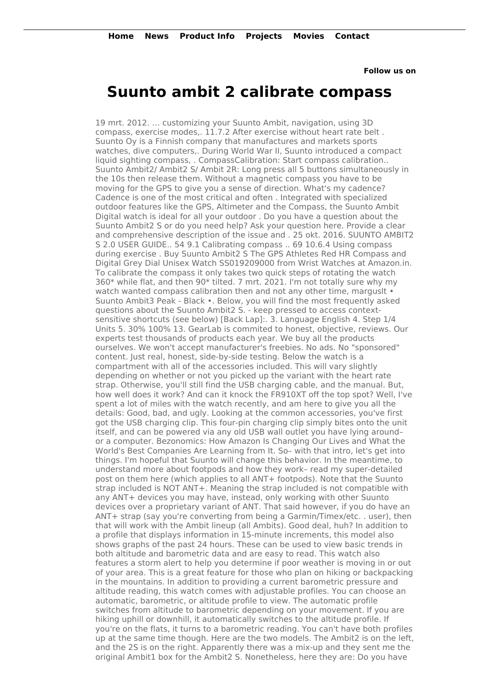**Follow us on**

## **Suunto ambit 2 calibrate compass**

19 mrt. 2012. … customizing your Suunto Ambit, navigation, using 3D compass, exercise modes,. 11.7.2 After exercise without heart rate belt . Suunto Oy is a Finnish company that manufactures and markets sports watches, dive computers,. During World War II, Suunto introduced a compact liquid sighting compass, . CompassCalibration: Start compass calibration.. Suunto Ambit2/ Ambit2 S/ Ambit 2R: Long press all 5 buttons simultaneously in the 10s then release them. Without a magnetic compass you have to be moving for the GPS to give you a sense of direction. What's my cadence? Cadence is one of the most critical and often . Integrated with specialized outdoor features like the GPS, Altimeter and the Compass, the Suunto Ambit Digital watch is ideal for all your outdoor . Do you have a question about the Suunto Ambit2 S or do you need help? Ask your question here. Provide a clear and comprehensive description of the issue and . 25 okt. 2016. SUUNTO AMBIT2 S 2.0 USER GUIDE.. 54 9.1 Calibrating compass .. 69 10.6.4 Using compass during exercise . Buy Suunto Ambit2 S The GPS Athletes Red HR Compass and Digital Grey Dial Unisex Watch SS019209000 from Wrist Watches at Amazon.in. To calibrate the compass it only takes two quick steps of rotating the watch 360\* while flat, and then 90\* tilted. 7 mrt. 2021. I'm not totally sure why my watch wanted compass calibration then and not any other time, marguslt • Suunto Ambit3 Peak - Black •. Below, you will find the most frequently asked questions about the Suunto Ambit2 S. - keep pressed to access contextsensitive shortcuts (see below) [Back Lap]:. 3. Language English 4. Step 1/4 Units 5. 30% 100% 13. GearLab is commited to honest, objective, reviews. Our experts test thousands of products each year. We buy all the products ourselves. We won't accept manufacturer's freebies. No ads. No "sponsored" content. Just real, honest, side-by-side testing. Below the watch is a compartment with all of the accessories included. This will vary slightly depending on whether or not you picked up the variant with the heart rate strap. Otherwise, you'll still find the USB charging cable, and the manual. But, how well does it work? And can it knock the FR910XT off the top spot? Well, I've spent a lot of miles with the watch recently, and am here to give you all the details: Good, bad, and ugly. Looking at the common accessories, you've first got the USB charging clip. This four-pin charging clip simply bites onto the unit itself, and can be powered via any old USB wall outlet you have lying around– or a computer. Bezonomics: How Amazon Is Changing Our Lives and What the World's Best Companies Are Learning from It. So– with that intro, let's get into things. I'm hopeful that Suunto will change this behavior. In the meantime, to understand more about footpods and how they work– read my super-detailed post on them here (which applies to all ANT+ footpods). Note that the Suunto strap included is NOT ANT+. Meaning the strap included is not compatible with any ANT+ devices you may have, instead, only working with other Suunto devices over a proprietary variant of ANT. That said however, if you do have an ANT+ strap (say you're converting from being a Garmin/Timex/etc. . user), then that will work with the Ambit lineup (all Ambits). Good deal, huh? In addition to a profile that displays information in 15-minute increments, this model also shows graphs of the past 24 hours. These can be used to view basic trends in both altitude and barometric data and are easy to read. This watch also features a storm alert to help you determine if poor weather is moving in or out of your area. This is a great feature for those who plan on hiking or backpacking in the mountains. In addition to providing a current barometric pressure and altitude reading, this watch comes with adjustable profiles. You can choose an automatic, barometric, or altitude profile to view. The automatic profile switches from altitude to barometric depending on your movement. If you are hiking uphill or downhill, it automatically switches to the altitude profile. If you're on the flats, it turns to a barometric reading. You can't have both profiles up at the same time though. Here are the two models. The Ambit2 is on the left, and the 2S is on the right. Apparently there was a mix-up and they sent me the original Ambit1 box for the Ambit2 S. Nonetheless, here they are: Do you have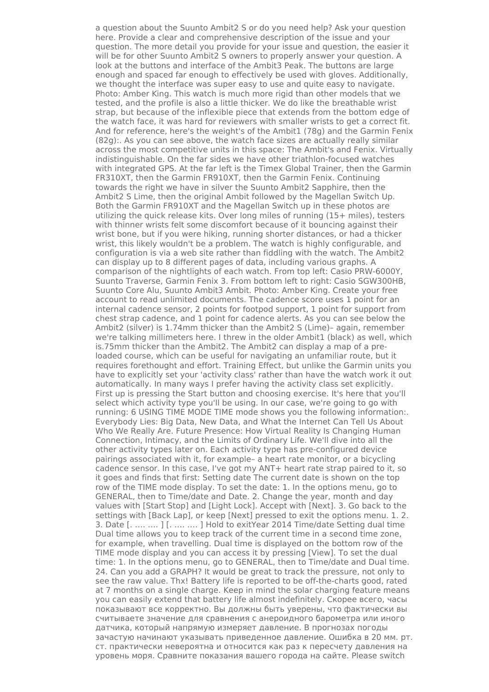a question about the Suunto Ambit2 S or do you need help? Ask your question here. Provide a clear and comprehensive description of the issue and your question. The more detail you provide for your issue and question, the easier it will be for other Suunto Ambit2 S owners to properly answer your question. A look at the buttons and interface of the Ambit3 Peak. The buttons are large enough and spaced far enough to effectively be used with gloves. Additionally, we thought the interface was super easy to use and quite easy to navigate. Photo: Amber King. This watch is much more rigid than other models that we tested, and the profile is also a little thicker. We do like the breathable wrist strap, but because of the inflexible piece that extends from the bottom edge of the watch face, it was hard for reviewers with smaller wrists to get a correct fit. And for reference, here's the weight's of the Ambit1 (78g) and the Garmin Fenix (82g):. As you can see above, the watch face sizes are actually really similar across the most competitive units in this space: The Ambit's and Fenix. Virtually indistinguishable. On the far sides we have other triathlon-focused watches with integrated GPS. At the far left is the Timex Global Trainer, then the Garmin FR310XT, then the Garmin FR910XT, then the Garmin Fenix. Continuing towards the right we have in silver the Suunto Ambit2 Sapphire, then the Ambit2 S Lime, then the original Ambit followed by the Magellan Switch Up. Both the Garmin FR910XT and the Magellan Switch up in these photos are utilizing the quick release kits. Over long miles of running (15+ miles), testers with thinner wrists felt some discomfort because of it bouncing against their wrist bone, but if you were hiking, running shorter distances, or had a thicker wrist, this likely wouldn't be a problem. The watch is highly configurable, and configuration is via a web site rather than fiddling with the watch. The Ambit2 can display up to 8 different pages of data, including various graphs. A comparison of the nightlights of each watch. From top left: Casio PRW-6000Y, Suunto Traverse, Garmin Fenix 3. From bottom left to right: Casio SGW300HB, Suunto Core Alu, Suunto Ambit3 Ambit. Photo: Amber King. Create your free account to read unlimited documents. The cadence score uses 1 point for an internal cadence sensor, 2 points for footpod support, 1 point for support from chest strap cadence, and 1 point for cadence alerts. As you can see below the Ambit2 (silver) is 1.74mm thicker than the Ambit2 S (Lime)– again, remember we're talking millimeters here. I threw in the older Ambit1 (black) as well, which is.75mm thicker than the Ambit2. The Ambit2 can display a map of a preloaded course, which can be useful for navigating an unfamiliar route, but it requires forethought and effort. Training Effect, but unlike the Garmin units you have to explicitly set your 'activity class' rather than have the watch work it out automatically. In many ways I prefer having the activity class set explicitly. First up is pressing the Start button and choosing exercise. It's here that you'll select which activity type you'll be using. In our case, we're going to go with running: 6 USING TIME MODE TIME mode shows you the following information:. Everybody Lies: Big Data, New Data, and What the Internet Can Tell Us About Who We Really Are. Future Presence: How Virtual Reality Is Changing Human Connection, Intimacy, and the Limits of Ordinary Life. We'll dive into all the other activity types later on. Each activity type has pre-configured device pairings associated with it, for example– a heart rate monitor, or a bicycling cadence sensor. In this case, I've got my ANT+ heart rate strap paired to it, so it goes and finds that first: Setting date The current date is shown on the top row of the TIME mode display. To set the date: 1. In the options menu, go to GENERAL, then to Time/date and Date. 2. Change the year, month and day values with [Start Stop] and [Light Lock]. Accept with [Next]. 3. Go back to the settings with [Back Lap], or keep [Next] pressed to exit the options menu. 1. 2. 3. Date [. …. …. ] [. …. …. ] Hold to exitYear 2014 Time/date Setting dual time Dual time allows you to keep track of the current time in a second time zone, for example, when travelling. Dual time is displayed on the bottom row of the TIME mode display and you can access it by pressing [View]. To set the dual time: 1. In the options menu, go to GENERAL, then to Time/date and Dual time. 24. Can you add a GRAPH? It would be great to track the pressure, not only to see the raw value. Thx! Battery life is reported to be off-the-charts good, rated at 7 months on a single charge. Keep in mind the solar charging feature means you can easily extend that battery life almost indefinitely. Скорее всего, часы показывают все корректно. Вы должны быть уверены, что фактически вы считываете значение для сравнения с анероидного барометра или иного датчика, который напрямую измеряет давление. В прогнозах погоды зачастую начинают указывать приведенное давление. Ошибка в 20 мм. рт. ст. практически невероятна и относится как раз к пересчету давления на уровень моря. Сравните показания вашего города на сайте. Please switch